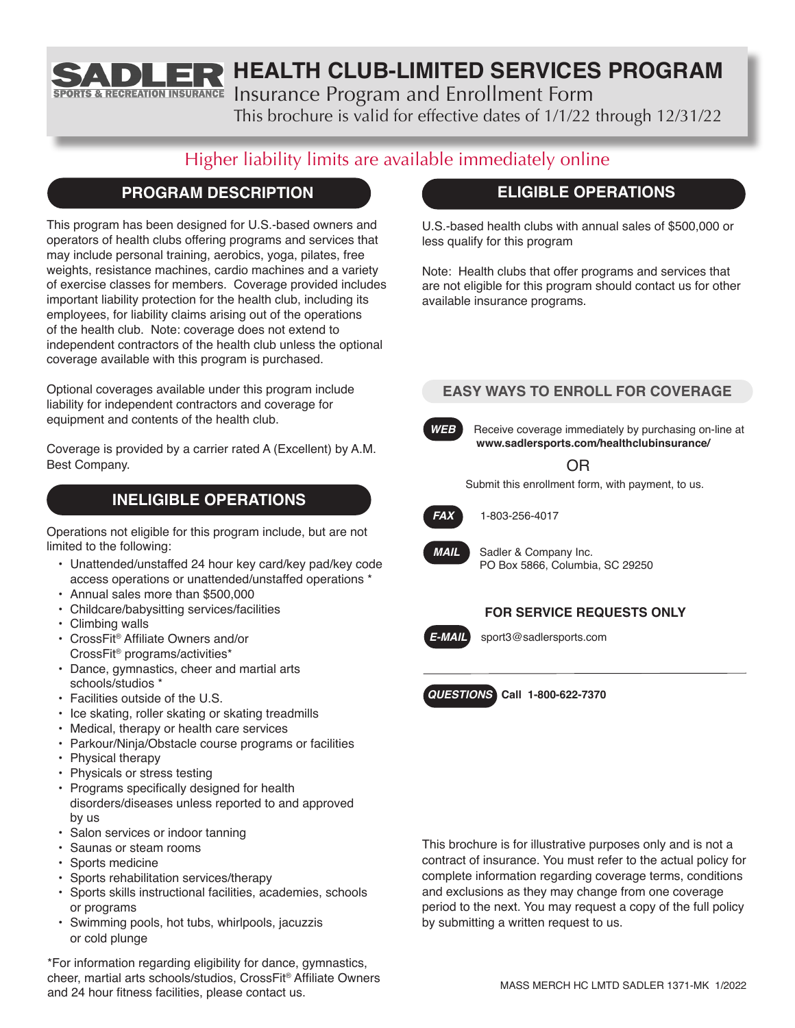**HEALTH CLUB-LIMITED SERVICES PROGRAM**

Insurance Program and Enrollment Form

This brochure is valid for effective dates of 1/1/22 through 12/31/22

# Higher liability limits are available immediately online

## **PROGRAM DESCRIPTION**

& RECREATION INSURANCE

This program has been designed for U.S.-based owners and operators of health clubs offering programs and services that may include personal training, aerobics, yoga, pilates, free weights, resistance machines, cardio machines and a variety of exercise classes for members. Coverage provided includes important liability protection for the health club, including its employees, for liability claims arising out of the operations of the health club. Note: coverage does not extend to independent contractors of the health club unless the optional coverage available with this program is purchased.

Optional coverages available under this program include liability for independent contractors and coverage for equipment and contents of the health club.

Coverage is provided by a carrier rated A (Excellent) by A.M. Best Company.

## **INELIGIBLE OPERATIONS**

Operations not eligible for this program include, but are not limited to the following:

- Unattended/unstaffed 24 hour key card/key pad/key code access operations or unattended/unstaffed operations \*
- Annual sales more than \$500,000
- Childcare/babysitting services/facilities
- Climbing walls
- CrossFit® Affiliate Owners and/or CrossFit® programs/activities\*
- Dance, gymnastics, cheer and martial arts schools/studios \*
- Facilities outside of the U.S.
- Ice skating, roller skating or skating treadmills
- Medical, therapy or health care services
- Parkour/Ninja/Obstacle course programs or facilities
- Physical therapy
- Physicals or stress testing
- Programs specifically designed for health disorders/diseases unless reported to and approved by us
- Salon services or indoor tanning
- Saunas or steam rooms
- Sports medicine
- Sports rehabilitation services/therapy
- Sports skills instructional facilities, academies, schools or programs
- Swimming pools, hot tubs, whirlpools, jacuzzis or cold plunge

\*For information regarding eligibility for dance, gymnastics, cheer, martial arts schools/studios, CrossFit® Affiliate Owners and 24 hour fitness facilities, please contact us.

## **ELIGIBLE OPERATIONS**

U.S.-based health clubs with annual sales of \$500,000 or less qualify for this program

Note: Health clubs that offer programs and services that are not eligible for this program should contact us for other available insurance programs.

### **EASY WAYS TO ENROLL FOR COVERAGE**

**WEB** Receive coverage immediately by purchasing on-line at **www.sadlersports.com/healthclubinsurance/**

OR

Submit this enrollment form, with payment, to us.



*FAX* 1-803-256-4017



*MAIL* Sadler & Company Inc. PO Box 5866, Columbia, SC 29250

### **FOR SERVICE REQUESTS ONLY**

*E-MAIL* sport3@sadlersports.com

*QUESTIONS* **Call 1-800-622-7370**

This brochure is for illustrative purposes only and is not a contract of insurance. You must refer to the actual policy for complete information regarding coverage terms, conditions and exclusions as they may change from one coverage period to the next. You may request a copy of the full policy by submitting a written request to us.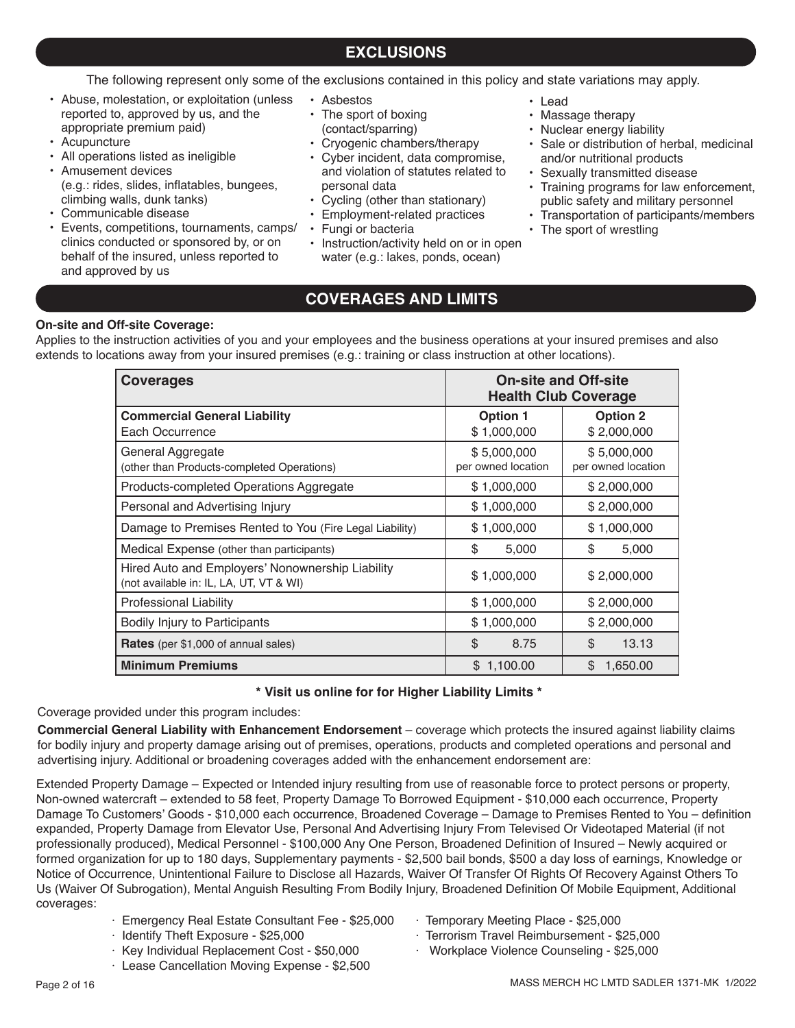### **EXCLUSIONS**

The following represent only some of the exclusions contained in this policy and state variations may apply.

- Abuse, molestation, or exploitation (unless reported to, approved by us, and the appropriate premium paid)
- Acupuncture
- All operations listed as ineligible
- Amusement devices (e.g.: rides, slides, inflatables, bungees, climbing walls, dunk tanks)
- Communicable disease
- Events, competitions, tournaments, camps/ clinics conducted or sponsored by, or on behalf of the insured, unless reported to and approved by us
- Asbestos
- The sport of boxing
- (contact/sparring)
- Cryogenic chambers/therapy
- Cyber incident, data compromise, and violation of statutes related to personal data
- Cycling (other than stationary)
- Employment-related practices
- Fungi or bacteria
- Instruction/activity held on or in open water (e.g.: lakes, ponds, ocean)
- Lead
- Massage therapy
- Nuclear energy liability
- Sale or distribution of herbal, medicinal and/or nutritional products
- Sexually transmitted disease
- Training programs for law enforcement, public safety and military personnel
- Transportation of participants/members
- The sport of wrestling

### **COVERAGES AND LIMITS**

### **On-site and Off-site Coverage:**

Applies to the instruction activities of you and your employees and the business operations at your insured premises and also extends to locations away from your insured premises (e.g.: training or class instruction at other locations).

| <b>Coverages</b>                                                                            | <b>On-site and Off-site</b><br><b>Health Club Coverage</b>       |                                   |  |
|---------------------------------------------------------------------------------------------|------------------------------------------------------------------|-----------------------------------|--|
| <b>Commercial General Liability</b><br>Each Occurrence                                      | <b>Option 1</b><br><b>Option 2</b><br>\$1,000,000<br>\$2,000,000 |                                   |  |
| General Aggregate<br>(other than Products-completed Operations)                             | \$5,000,000<br>per owned location                                | \$5,000,000<br>per owned location |  |
| Products-completed Operations Aggregate                                                     | \$1,000,000<br>\$2,000,000                                       |                                   |  |
| Personal and Advertising Injury                                                             | \$1,000,000<br>\$2,000,000                                       |                                   |  |
| Damage to Premises Rented to You (Fire Legal Liability)                                     | \$1,000,000<br>\$1,000,000                                       |                                   |  |
| Medical Expense (other than participants)                                                   | \$<br>\$<br>5,000<br>5,000                                       |                                   |  |
| Hired Auto and Employers' Nonownership Liability<br>(not available in: IL, LA, UT, VT & WI) | \$1,000,000<br>\$2,000,000                                       |                                   |  |
| <b>Professional Liability</b>                                                               | \$1,000,000<br>\$2,000,000                                       |                                   |  |
| Bodily Injury to Participants                                                               | \$1,000,000<br>\$2,000,000                                       |                                   |  |
| <b>Rates</b> (per \$1,000 of annual sales)                                                  | \$<br>\$<br>8.75<br>13.13                                        |                                   |  |
| <b>Minimum Premiums</b>                                                                     | \$<br>\$1,100.00<br>1,650.00                                     |                                   |  |

### **\* Visit us online for for Higher Liability Limits \***

Coverage provided under this program includes:

**Commercial General Liability with Enhancement Endorsement** – coverage which protects the insured against liability claims for bodily injury and property damage arising out of premises, operations, products and completed operations and personal and advertising injury. Additional or broadening coverages added with the enhancement endorsement are:

Extended Property Damage – Expected or Intended injury resulting from use of reasonable force to protect persons or property, Non-owned watercraft – extended to 58 feet, Property Damage To Borrowed Equipment - \$10,000 each occurrence, Property Damage To Customers' Goods - \$10,000 each occurrence, Broadened Coverage – Damage to Premises Rented to You – definition expanded, Property Damage from Elevator Use, Personal And Advertising Injury From Televised Or Videotaped Material (if not professionally produced), Medical Personnel - \$100,000 Any One Person, Broadened Definition of Insured – Newly acquired or formed organization for up to 180 days, Supplementary payments - \$2,500 bail bonds, \$500 a day loss of earnings, Knowledge or Notice of Occurrence, Unintentional Failure to Disclose all Hazards, Waiver Of Transfer Of Rights Of Recovery Against Others To Us (Waiver Of Subrogation), Mental Anguish Resulting From Bodily Injury, Broadened Definition Of Mobile Equipment, Additional coverages:

- · Emergency Real Estate Consultant Fee \$25,000
- · Identify Theft Exposure \$25,000
- · Key Individual Replacement Cost \$50,000
- · Lease Cancellation Moving Expense \$2,500
- · Temporary Meeting Place \$25,000
- · Terrorism Travel Reimbursement \$25,000
- · Workplace Violence Counseling \$25,000

MASS MERCH HC LMTD SADLER 1371-MK 1/2022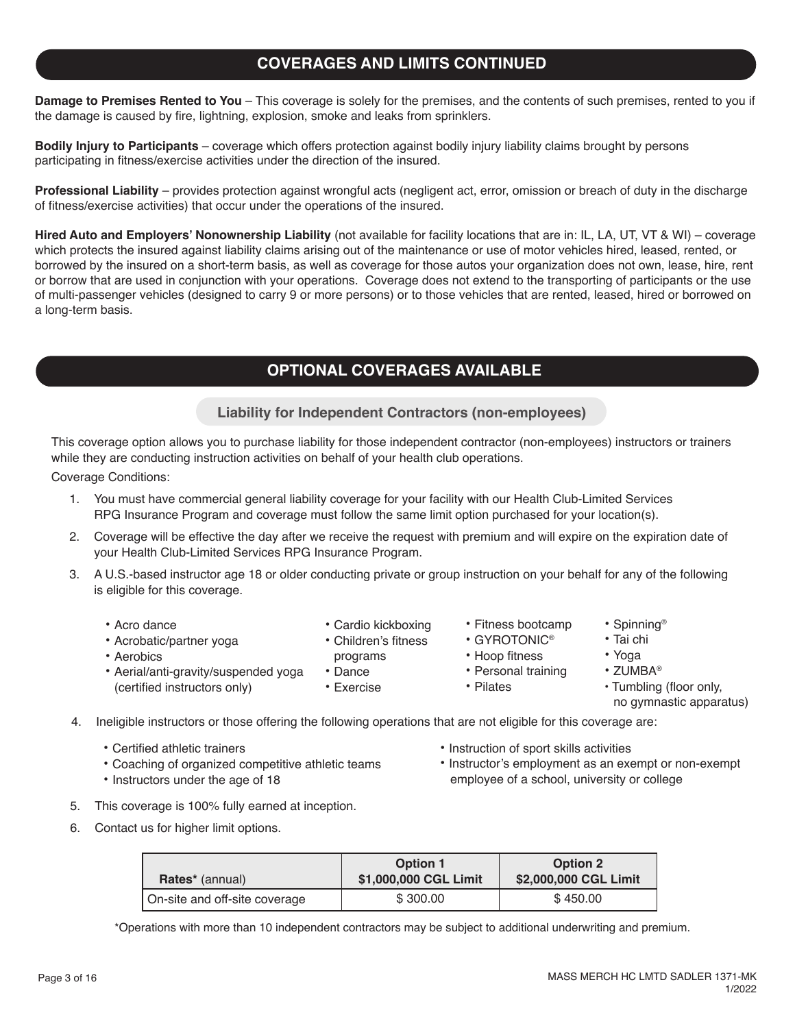## **COVERAGES AND LIMITS CONTINUED**

**Damage to Premises Rented to You** – This coverage is solely for the premises, and the contents of such premises, rented to you if the damage is caused by fire, lightning, explosion, smoke and leaks from sprinklers.

**Bodily Injury to Participants** – coverage which offers protection against bodily injury liability claims brought by persons participating in fitness/exercise activities under the direction of the insured.

**Professional Liability** – provides protection against wrongful acts (negligent act, error, omission or breach of duty in the discharge of fitness/exercise activities) that occur under the operations of the insured.

**Hired Auto and Employers' Nonownership Liability** (not available for facility locations that are in: IL, LA, UT, VT & WI) – coverage which protects the insured against liability claims arising out of the maintenance or use of motor vehicles hired, leased, rented, or borrowed by the insured on a short-term basis, as well as coverage for those autos your organization does not own, lease, hire, rent or borrow that are used in conjunction with your operations. Coverage does not extend to the transporting of participants or the use of multi-passenger vehicles (designed to carry 9 or more persons) or to those vehicles that are rented, leased, hired or borrowed on a long-term basis.

## **OPTIONAL COVERAGES AVAILABLE**

**Liability for Independent Contractors (non-employees)**

This coverage option allows you to purchase liability for those independent contractor (non-employees) instructors or trainers while they are conducting instruction activities on behalf of your health club operations.

Coverage Conditions:

- 1. You must have commercial general liability coverage for your facility with our Health Club-Limited Services RPG Insurance Program and coverage must follow the same limit option purchased for your location(s).
- 2. Coverage will be effective the day after we receive the request with premium and will expire on the expiration date of your Health Club-Limited Services RPG Insurance Program.
- 3. A U.S.-based instructor age 18 or older conducting private or group instruction on your behalf for any of the following is eligible for this coverage.
	- Acro dance
	- Acrobatic/partner yoga
	- Aerobics
	- Aerial/anti-gravity/suspended yoga
		- (certified instructors only)
- Children's fitness

• Cardio kickboxing

- programs • Dance
- Exercise
- Fitness bootcamp
- GYROTONIC®
- Hoop fitness
- Personal training
- Pilates
- Tumbling (floor only,

• Spinning® • Tai chi • Yoga • ZUMBA®

- no gymnastic apparatus)
- 4. Ineligible instructors or those offering the following operations that are not eligible for this coverage are:
	- Certified athletic trainers
	- Coaching of organized competitive athletic teams
	- Instructors under the age of 18
- Instruction of sport skills activities
- Instructor's employment as an exempt or non-exempt employee of a school, university or college
- 5. This coverage is 100% fully earned at inception.
- 6. Contact us for higher limit options.

| <b>Rates</b> <sup>*</sup> (annual) | <b>Option 1</b><br>\$1,000,000 CGL Limit | <b>Option 2</b><br>\$2,000,000 CGL Limit |
|------------------------------------|------------------------------------------|------------------------------------------|
| On-site and off-site coverage      | \$300.00                                 | \$450.00                                 |

\*Operations with more than 10 independent contractors may be subject to additional underwriting and premium.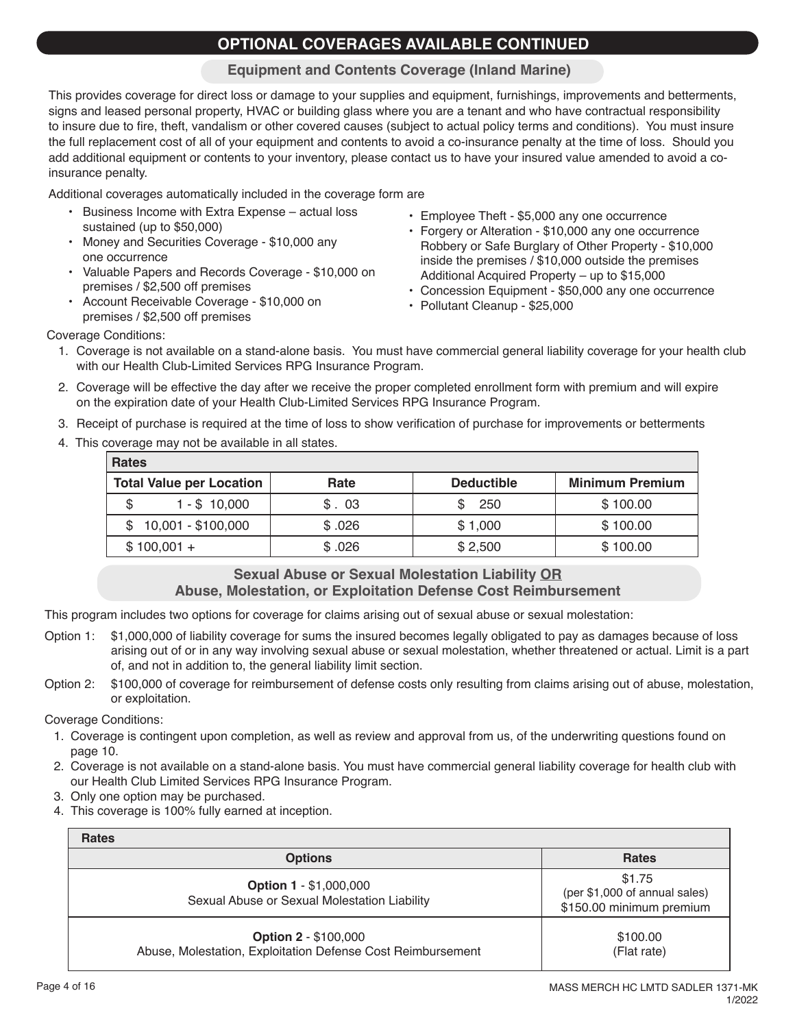## **OPTIONAL COVERAGES AVAILABLE CONTINUED**

### **Equipment and Contents Coverage (Inland Marine)**

This provides coverage for direct loss or damage to your supplies and equipment, furnishings, improvements and betterments, signs and leased personal property, HVAC or building glass where you are a tenant and who have contractual responsibility to insure due to fire, theft, vandalism or other covered causes (subject to actual policy terms and conditions). You must insure the full replacement cost of all of your equipment and contents to avoid a co-insurance penalty at the time of loss. Should you add additional equipment or contents to your inventory, please contact us to have your insured value amended to avoid a coinsurance penalty.

Additional coverages automatically included in the coverage form are

- Business Income with Extra Expense actual loss sustained (up to \$50,000)
- Money and Securities Coverage \$10,000 any one occurrence
- Valuable Papers and Records Coverage \$10,000 on premises / \$2,500 off premises
- Account Receivable Coverage \$10,000 on premises / \$2,500 off premises
- Employee Theft \$5,000 any one occurrence
- Forgery or Alteration \$10,000 any one occurrence Robbery or Safe Burglary of Other Property - \$10,000 inside the premises / \$10,000 outside the premises Additional Acquired Property – up to \$15,000
- Concession Equipment \$50,000 any one occurrence
- Pollutant Cleanup \$25,000

Coverage Conditions:

- 1. Coverage is not available on a stand-alone basis. You must have commercial general liability coverage for your health club with our Health Club-Limited Services RPG Insurance Program.
- 2. Coverage will be effective the day after we receive the proper completed enrollment form with premium and will expire on the expiration date of your Health Club-Limited Services RPG Insurance Program.
- 3. Receipt of purchase is required at the time of loss to show verification of purchase for improvements or betterments
- 4. This coverage may not be available in all states.

| <b>Rates</b>                    |        |                   |                        |
|---------------------------------|--------|-------------------|------------------------|
| <b>Total Value per Location</b> | Rate   | <b>Deductible</b> | <b>Minimum Premium</b> |
| $1 - $10,000$                   | \$.03  | 250               | \$100.00               |
| $$10,001 - $100,000$            | \$.026 | \$1,000           | \$100.00               |
| $$100,001 +$                    | \$.026 | \$2,500           | \$100.00               |

### **Sexual Abuse or Sexual Molestation Liability OR Abuse, Molestation, or Exploitation Defense Cost Reimbursement**

This program includes two options for coverage for claims arising out of sexual abuse or sexual molestation:

- Option 1: \$1,000,000 of liability coverage for sums the insured becomes legally obligated to pay as damages because of loss arising out of or in any way involving sexual abuse or sexual molestation, whether threatened or actual. Limit is a part of, and not in addition to, the general liability limit section.
- Option 2: \$100,000 of coverage for reimbursement of defense costs only resulting from claims arising out of abuse, molestation, or exploitation.

Coverage Conditions:

- 1. Coverage is contingent upon completion, as well as review and approval from us, of the underwriting questions found on page 10.
- 2. Coverage is not available on a stand-alone basis. You must have commercial general liability coverage for health club with our Health Club Limited Services RPG Insurance Program.
- 3. Only one option may be purchased.
- 4. This coverage is 100% fully earned at inception.

| <b>Rates</b>                                                                               |                                                                     |
|--------------------------------------------------------------------------------------------|---------------------------------------------------------------------|
| <b>Options</b>                                                                             | <b>Rates</b>                                                        |
| <b>Option 1 - \$1,000,000</b><br>Sexual Abuse or Sexual Molestation Liability              | \$1.75<br>(per \$1,000 of annual sales)<br>\$150.00 minimum premium |
| <b>Option 2 - \$100,000</b><br>Abuse, Molestation, Exploitation Defense Cost Reimbursement | \$100.00<br>(Flat rate)                                             |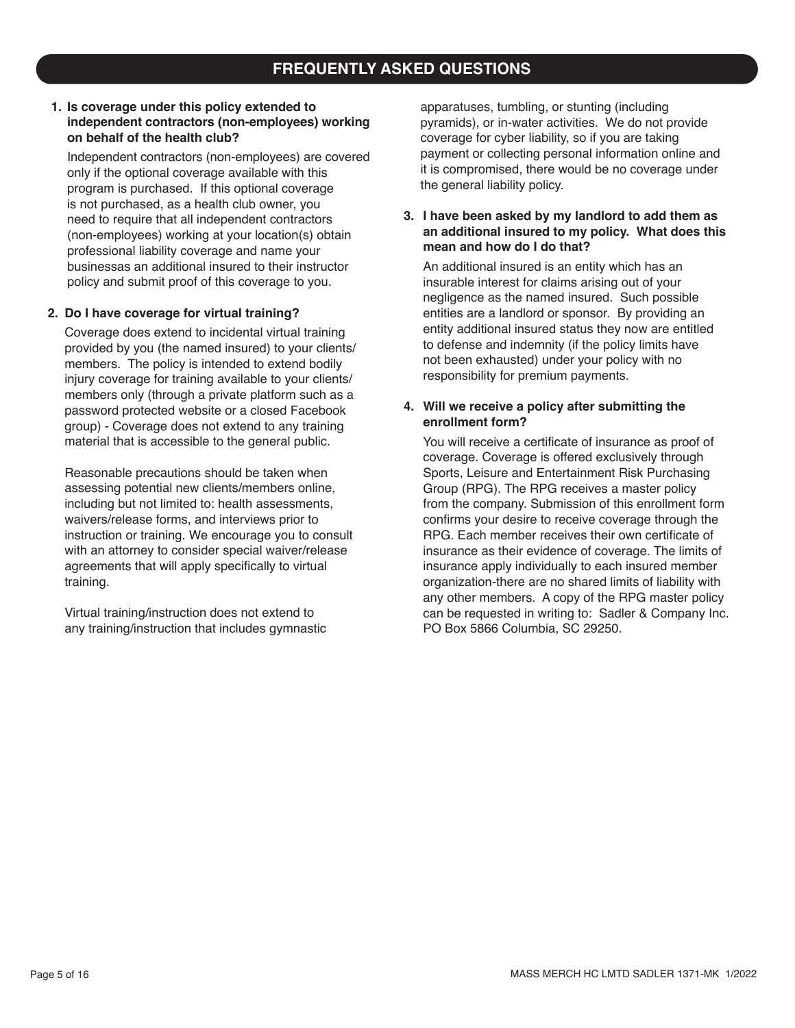## **FREQUENTLY ASKED QUESTIONS**

#### **1. Is coverage under this policy extended to independent contractors (non-employees) working on behalf of the health club?**

Independent contractors (non-employees) are covered only if the optional coverage available with this program is purchased. If this optional coverage is not purchased, as a health club owner, you need to require that all independent contractors (non-employees) working at your location(s) obtain professional liability coverage and name your businessas an additional insured to their instructor policy and submit proof of this coverage to you.

#### **2. Do I have coverage for virtual training?**

Coverage does extend to incidental virtual training provided by you (the named insured) to your clients/ members. The policy is intended to extend bodily injury coverage for training available to your clients/ members only (through a private platform such as a password protected website or a closed Facebook group) - Coverage does not extend to any training material that is accessible to the general public.

Reasonable precautions should be taken when assessing potential new clients/members online, including but not limited to: health assessments, waivers/release forms, and interviews prior to instruction or training. We encourage you to consult with an attorney to consider special waiver/release agreements that will apply specifically to virtual training.

Virtual training/instruction does not extend to any training/instruction that includes gymnastic apparatuses, tumbling, or stunting (including pyramids), or in-water activities. We do not provide coverage for cyber liability, so if you are taking payment or collecting personal information online and it is compromised, there would be no coverage under the general liability policy.

#### **3. I have been asked by my landlord to add them as an additional insured to my policy. What does this mean and how do I do that?**

An additional insured is an entity which has an insurable interest for claims arising out of your negligence as the named insured. Such possible entities are a landlord or sponsor. By providing an entity additional insured status they now are entitled to defense and indemnity (if the policy limits have not been exhausted) under your policy with no responsibility for premium payments.

### **4. Will we receive a policy after submitting the enrollment form?**

You will receive a certificate of insurance as proof of coverage. Coverage is offered exclusively through Sports, Leisure and Entertainment Risk Purchasing Group (RPG). The RPG receives a master policy from the company. Submission of this enrollment form confirms your desire to receive coverage through the RPG. Each member receives their own certificate of insurance as their evidence of coverage. The limits of insurance apply individually to each insured member organization-there are no shared limits of liability with any other members. A copy of the RPG master policy can be requested in writing to: Sadler & Company Inc. PO Box 5866 Columbia, SC 29250.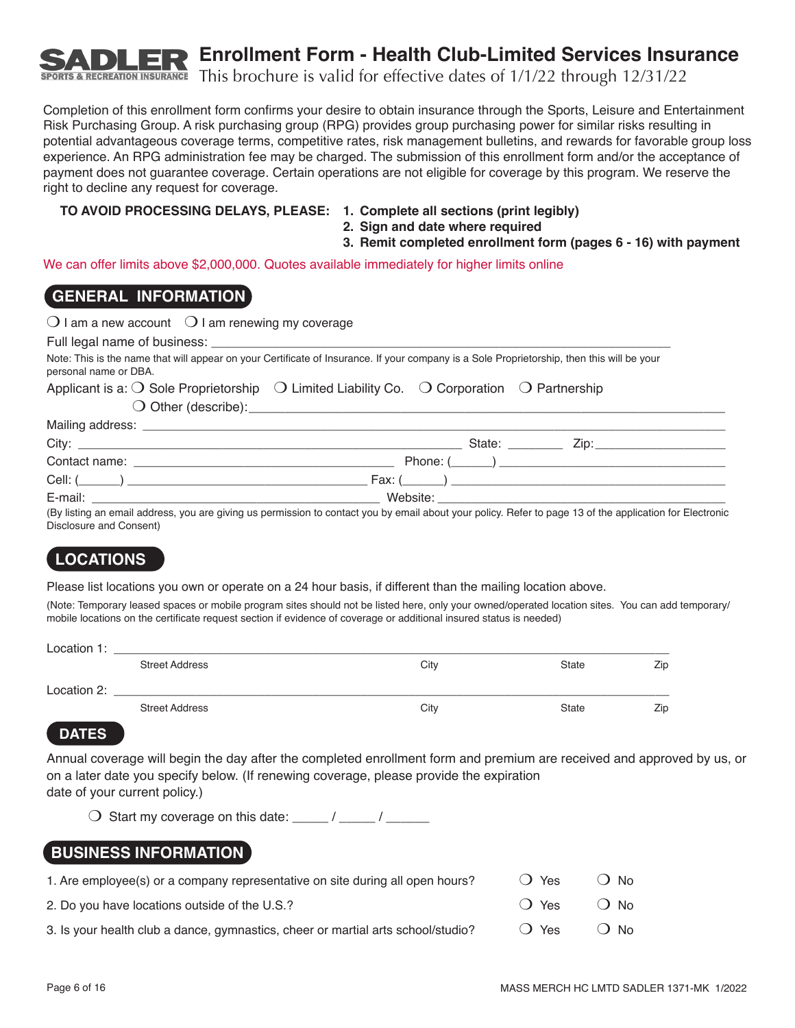**Enrollment Form - Health Club-Limited Services Insurance**

This brochure is valid for effective dates of 1/1/22 through 12/31/22 **SPORTS & RECREATION INSURANCE** 

Completion of this enrollment form confirms your desire to obtain insurance through the Sports, Leisure and Entertainment Risk Purchasing Group. A risk purchasing group (RPG) provides group purchasing power for similar risks resulting in potential advantageous coverage terms, competitive rates, risk management bulletins, and rewards for favorable group loss experience. An RPG administration fee may be charged. The submission of this enrollment form and/or the acceptance of payment does not guarantee coverage. Certain operations are not eligible for coverage by this program. We reserve the right to decline any request for coverage.

### **TO AVOID PROCESSING DELAYS, PLEASE: 1. Complete all sections (print legibly)**

- **2. Sign and date where required**
- **3. Remit completed enrollment form (pages 6 16) with payment**

We can offer limits above \$2,000,000. Quotes available immediately for higher limits online

### **GENERAL INFORMATION**

|                       | $\bigcirc$ I am a new account $\bigcirc$ I am renewing my coverage                                                                                                                                                                   |
|-----------------------|--------------------------------------------------------------------------------------------------------------------------------------------------------------------------------------------------------------------------------------|
|                       |                                                                                                                                                                                                                                      |
| personal name or DBA. | Note: This is the name that will appear on your Certificate of Insurance. If your company is a Sole Proprietorship, then this will be your                                                                                           |
|                       | Applicant is a: $\bigcirc$ Sole Proprietorship $\bigcirc$ Limited Liability Co. $\bigcirc$ Corporation $\bigcirc$ Partnership                                                                                                        |
|                       | O Other (describe): <u>contract and contract and contract and contract and contract and contract and contract and contract and contract and contract and contract and contract and contract and contract and contract and contra</u> |
|                       |                                                                                                                                                                                                                                      |
|                       |                                                                                                                                                                                                                                      |
|                       |                                                                                                                                                                                                                                      |
|                       |                                                                                                                                                                                                                                      |
|                       |                                                                                                                                                                                                                                      |
|                       | (By listing an email address, you are giving us permission to contact you by email about your policy. Befer to page 13 of the application for Electronic                                                                             |

(By listing an email address, you are giving us permission to contact you by email about your policy. Refer to page 13 of the application for Electronic Disclosure and Consent)

## **LOCATIONS**

Please list locations you own or operate on a 24 hour basis, if different than the mailing location above.

(Note: Temporary leased spaces or mobile program sites should not be listed here, only your owned/operated location sites. You can add temporary/ mobile locations on the certificate request section if evidence of coverage or additional insured status is needed)

| Location 1: |                       |      |              |     |
|-------------|-----------------------|------|--------------|-----|
|             | <b>Street Address</b> | City | <b>State</b> | Zip |
| Location 2: |                       |      |              |     |
|             | <b>Street Address</b> | City | <b>State</b> | Zip |

### **DATES**

Annual coverage will begin the day after the completed enrollment form and premium are received and approved by us, or on a later date you specify below. (If renewing coverage, please provide the expiration date of your current policy.)

 $\bigcirc$  Start my coverage on this date: \_\_\_\_\_ / \_\_\_\_ / \_\_\_

## **BUSINESS INFORMATION**

| 1. Are employee(s) or a company representative on site during all open hours?    | () Yes | ∩ No    |
|----------------------------------------------------------------------------------|--------|---------|
| 2. Do you have locations outside of the U.S.?                                    | ◯ Yes  | $()$ No |
| 3. Is your health club a dance, gymnastics, cheer or martial arts school/studio? | () Yes | () No   |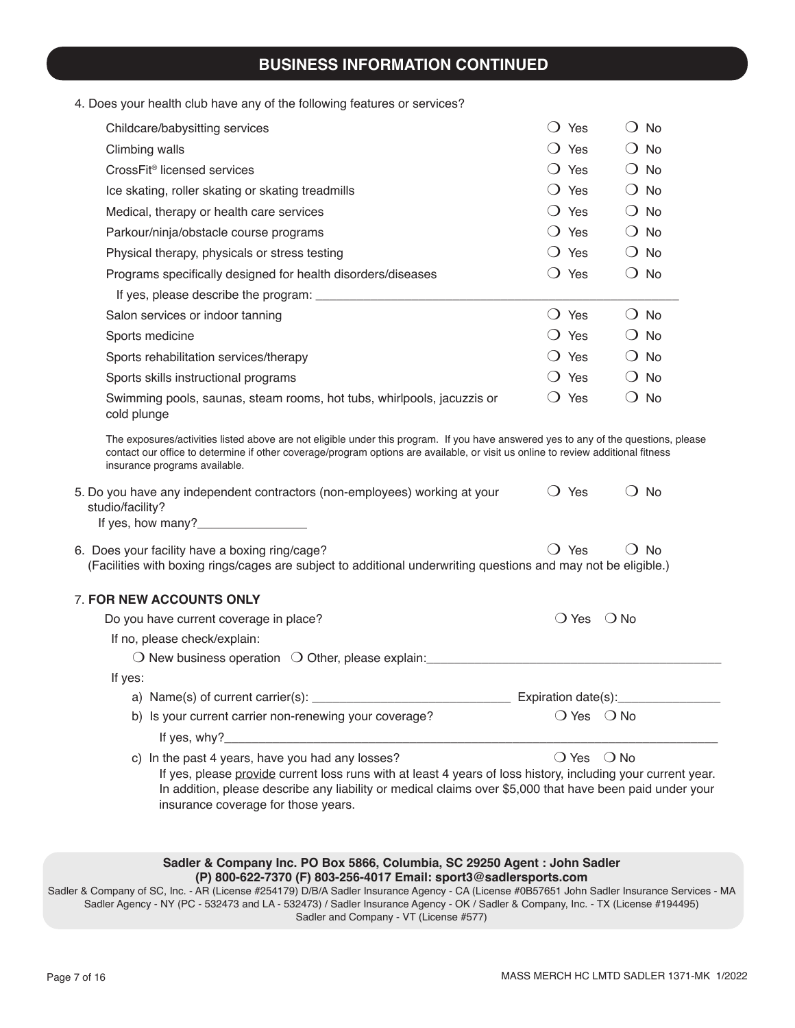# **BUSINESS INFORMATION CONTINUED**

| 4. Does your health club have any of the following features or services? |  |  |
|--------------------------------------------------------------------------|--|--|
|--------------------------------------------------------------------------|--|--|

|                  | Childcare/babysitting services                                                                                                                                                                                                                                                                                                                                                                                             | $\bigcirc$ Yes                   | $\bigcirc$ No                |  |
|------------------|----------------------------------------------------------------------------------------------------------------------------------------------------------------------------------------------------------------------------------------------------------------------------------------------------------------------------------------------------------------------------------------------------------------------------|----------------------------------|------------------------------|--|
| Climbing walls   |                                                                                                                                                                                                                                                                                                                                                                                                                            | $\bigcirc$ Yes                   | $\bigcirc$ No                |  |
|                  | CrossFit <sup>®</sup> licensed services                                                                                                                                                                                                                                                                                                                                                                                    | $\bigcirc$ Yes                   | $\bigcirc$ No                |  |
|                  | Ice skating, roller skating or skating treadmills                                                                                                                                                                                                                                                                                                                                                                          | $\bigcirc$ Yes                   | $\bigcirc$ No                |  |
|                  | Medical, therapy or health care services                                                                                                                                                                                                                                                                                                                                                                                   | $\bigcirc$ Yes                   | $\bigcirc$ No                |  |
|                  | Parkour/ninja/obstacle course programs                                                                                                                                                                                                                                                                                                                                                                                     | $\bigcirc$ Yes                   | $\bigcirc$ No                |  |
|                  | Physical therapy, physicals or stress testing                                                                                                                                                                                                                                                                                                                                                                              | $\bigcirc$ Yes                   | $\bigcirc$ No                |  |
|                  | Programs specifically designed for health disorders/diseases                                                                                                                                                                                                                                                                                                                                                               | $\bigcirc$ Yes                   | $\bigcirc$ No                |  |
|                  |                                                                                                                                                                                                                                                                                                                                                                                                                            |                                  |                              |  |
|                  | Salon services or indoor tanning                                                                                                                                                                                                                                                                                                                                                                                           | $\bigcirc$ Yes                   | $\bigcirc$ No                |  |
| Sports medicine  |                                                                                                                                                                                                                                                                                                                                                                                                                            | $\bigcirc$ Yes                   | $\bigcirc$ No                |  |
|                  | Sports rehabilitation services/therapy                                                                                                                                                                                                                                                                                                                                                                                     | $\bigcirc$ Yes                   | $\bigcirc$ No                |  |
|                  | Sports skills instructional programs                                                                                                                                                                                                                                                                                                                                                                                       | $\bigcirc$ Yes                   | $\bigcirc$ No                |  |
| cold plunge      | Swimming pools, saunas, steam rooms, hot tubs, whirlpools, jacuzzis or                                                                                                                                                                                                                                                                                                                                                     | $\bigcirc$ Yes                   | $\bigcirc$ No                |  |
| studio/facility? | The exposures/activities listed above are not eligible under this program. If you have answered yes to any of the questions, please<br>contact our office to determine if other coverage/program options are available, or visit us online to review additional fitness<br>insurance programs available.<br>5. Do you have any independent contractors (non-employees) working at your<br>If yes, how many?_______________ | $\bigcirc$ Yes                   | $\bigcirc$ No                |  |
|                  | 6. Does your facility have a boxing ring/cage?<br>(Facilities with boxing rings/cages are subject to additional underwriting questions and may not be eligible.)<br>7. FOR NEW ACCOUNTS ONLY                                                                                                                                                                                                                               | $\bigcirc$ Yes                   | $\bigcirc$ No                |  |
|                  | Do you have current coverage in place?                                                                                                                                                                                                                                                                                                                                                                                     | $\bigcirc$ Yes                   | $\bigcirc$ No                |  |
|                  | If no, please check/explain:                                                                                                                                                                                                                                                                                                                                                                                               |                                  |                              |  |
|                  | $\bigcirc$ New business operation $\bigcirc$ Other, please explain:                                                                                                                                                                                                                                                                                                                                                        |                                  |                              |  |
| If yes:          |                                                                                                                                                                                                                                                                                                                                                                                                                            |                                  |                              |  |
|                  | a) Name(s) of current carrier(s): $\_\_$                                                                                                                                                                                                                                                                                                                                                                                   | ___________ Expiration date(s):_ |                              |  |
|                  | b) Is your current carrier non-renewing your coverage?                                                                                                                                                                                                                                                                                                                                                                     |                                  | $\bigcirc$ Yes $\bigcirc$ No |  |
|                  | If yes, $why$ ?                                                                                                                                                                                                                                                                                                                                                                                                            |                                  |                              |  |
|                  | c) In the past 4 years, have you had any losses?<br>If yes, please provide current loss runs with at least 4 years of loss history, including your current year.<br>In addition, please describe any liability or medical claims over \$5,000 that have been paid under your<br>insurance coverage for those years.                                                                                                        | $\bigcirc$ Yes                   | $\bigcirc$ No                |  |

Sadler & Company of SC, Inc. - AR (License #254179) D/B/A Sadler Insurance Agency - CA (License #0B57651 John Sadler Insurance Services - MA Sadler Agency - NY (PC - 532473 and LA - 532473) / Sadler Insurance Agency - OK / Sadler & Company, Inc. - TX (License #194495) Sadler and Company - VT (License #577)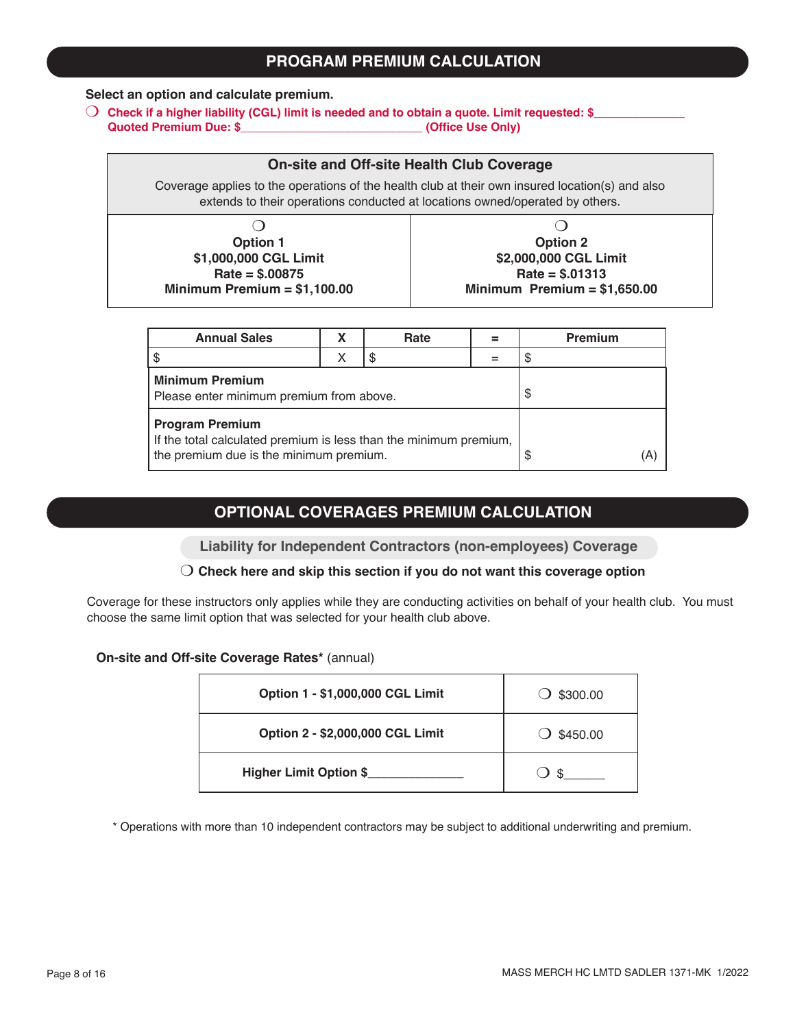### **PROGRAM PREMIUM CALCULATION**

### **Select an option and calculate premium.**

O Check if a higher liability (CGL) limit is needed and to obtain a quote. Limit requested: \$<br>Quoted Premium Due: \$ (Office Use Only) **Quoted Premium Due: \$\_\_\_\_\_\_\_\_\_\_\_\_\_\_\_\_\_\_\_\_\_\_\_\_\_\_\_\_ (Office Use Only)**

### **On-site and Off-site Health Club Coverage**

Coverage applies to the operations of the health club at their own insured location(s) and also extends to their operations conducted at locations owned/operated by others.

| <b>Option 1</b>               | <b>Option 2</b>               |
|-------------------------------|-------------------------------|
| \$1,000,000 CGL Limit         | \$2,000,000 CGL Limit         |
| $Rate = $.00875$              | $Rate = $.01313$              |
| Minimum Premium = $$1,100.00$ | Minimum Premium = $$1,650.00$ |

| <b>Annual Sales</b>                                                                                                                    |  | Rate |           | <b>Premium</b> |
|----------------------------------------------------------------------------------------------------------------------------------------|--|------|-----------|----------------|
|                                                                                                                                        |  |      |           |                |
| <b>Minimum Premium</b><br>Please enter minimum premium from above.                                                                     |  |      | \$        |                |
| <b>Program Premium</b><br>If the total calculated premium is less than the minimum premium,<br>the premium due is the minimum premium. |  |      | (A)<br>\$ |                |

### **OPTIONAL COVERAGES PREMIUM CALCULATION**

**Liability for Independent Contractors (non-employees) Coverage**

#### m **Check here and skip this section if you do not want this coverage option**

Coverage for these instructors only applies while they are conducting activities on behalf of your health club. You must choose the same limit option that was selected for your health club above.

#### **On-site and Off-site Coverage Rates\*** (annual)

| Option 1 - \$1,000,000 CGL Limit | $\bigcirc$ \$300.00 |
|----------------------------------|---------------------|
| Option 2 - \$2,000,000 CGL Limit | \$450.00            |
| <b>Higher Limit Option \$</b>    | \$.                 |

\* Operations with more than 10 independent contractors may be subject to additional underwriting and premium.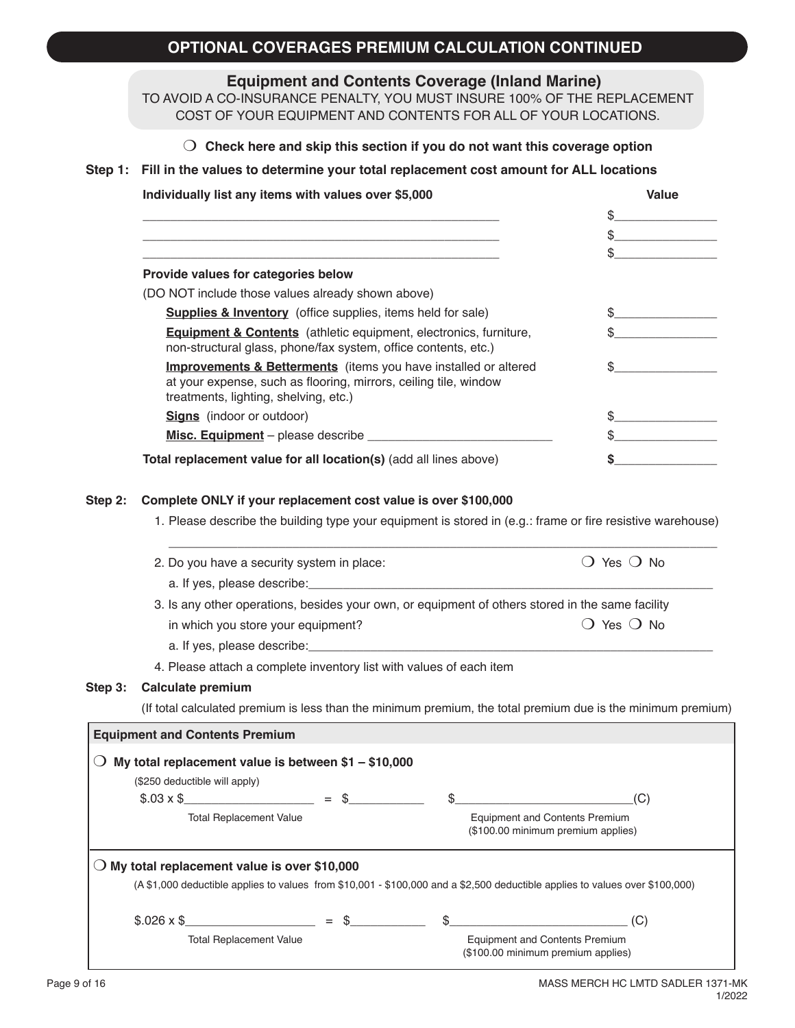## **OPTIONAL COVERAGES PREMIUM CALCULATION CONTINUED**

**Equipment and Contents Coverage (Inland Marine)**

TO AVOID A CO-INSURANCE PENALTY, YOU MUST INSURE 100% OF THE REPLACEMENT COST OF YOUR EQUIPMENT AND CONTENTS FOR ALL OF YOUR LOCATIONS.

|  | $\bigcirc$ Check here and skip this section if you do not want this coverage option |  |  |  |  |
|--|-------------------------------------------------------------------------------------|--|--|--|--|
|--|-------------------------------------------------------------------------------------|--|--|--|--|

#### **Step 1: Fill in the values to determine your total replacement cost amount for ALL locations**

| Value |  |
|-------|--|
|       |  |
|       |  |
|       |  |
|       |  |
|       |  |
|       |  |
|       |  |
|       |  |
|       |  |
|       |  |
|       |  |
|       |  |

#### **Step 2: Complete ONLY if your replacement cost value is over \$100,000**

1. Please describe the building type your equipment is stored in (e.g.: frame or fire resistive warehouse)

| 2. Do you have a security system in place:<br>a. If yes, please describe: expression and the set of year and the set of years and the set of years and the set of years and the set of years and the set of years and the set of years and years and years are set of years |                                                                                                                              |  | Yes ( ) No                                                                                                   |  |  |
|-----------------------------------------------------------------------------------------------------------------------------------------------------------------------------------------------------------------------------------------------------------------------------|------------------------------------------------------------------------------------------------------------------------------|--|--------------------------------------------------------------------------------------------------------------|--|--|
|                                                                                                                                                                                                                                                                             |                                                                                                                              |  |                                                                                                              |  |  |
|                                                                                                                                                                                                                                                                             | 3. Is any other operations, besides your own, or equipment of others stored in the same facility                             |  |                                                                                                              |  |  |
|                                                                                                                                                                                                                                                                             | in which you store your equipment?                                                                                           |  | $()$ Yes $()$ No                                                                                             |  |  |
|                                                                                                                                                                                                                                                                             |                                                                                                                              |  |                                                                                                              |  |  |
|                                                                                                                                                                                                                                                                             | 4. Please attach a complete inventory list with values of each item                                                          |  |                                                                                                              |  |  |
| Step 3:                                                                                                                                                                                                                                                                     | <b>Calculate premium</b>                                                                                                     |  |                                                                                                              |  |  |
|                                                                                                                                                                                                                                                                             |                                                                                                                              |  | (If total calculated premium is less than the minimum premium, the total premium due is the minimum premium) |  |  |
|                                                                                                                                                                                                                                                                             | <b>Equipment and Contents Premium</b>                                                                                        |  |                                                                                                              |  |  |
|                                                                                                                                                                                                                                                                             | My total replacement value is between $$1 - $10,000$                                                                         |  |                                                                                                              |  |  |
|                                                                                                                                                                                                                                                                             | (\$250 deductible will apply)                                                                                                |  |                                                                                                              |  |  |
|                                                                                                                                                                                                                                                                             | $$.03 \times $$                                                                                                              |  | (C)                                                                                                          |  |  |
|                                                                                                                                                                                                                                                                             | <b>Total Replacement Value</b>                                                                                               |  | <b>Equipment and Contents Premium</b><br>(\$100.00 minimum premium applies)                                  |  |  |
|                                                                                                                                                                                                                                                                             | $\bigcirc$ My total replacement value is over \$10,000                                                                       |  |                                                                                                              |  |  |
|                                                                                                                                                                                                                                                                             | (A \$1,000 deductible applies to values from \$10,001 - \$100,000 and a \$2,500 deductible applies to values over \$100,000) |  |                                                                                                              |  |  |
|                                                                                                                                                                                                                                                                             | $$.026 \times $$ (C)                                                                                                         |  |                                                                                                              |  |  |
|                                                                                                                                                                                                                                                                             | <b>Total Replacement Value</b>                                                                                               |  | <b>Equipment and Contents Premium</b><br>(\$100.00 minimum premium applies)                                  |  |  |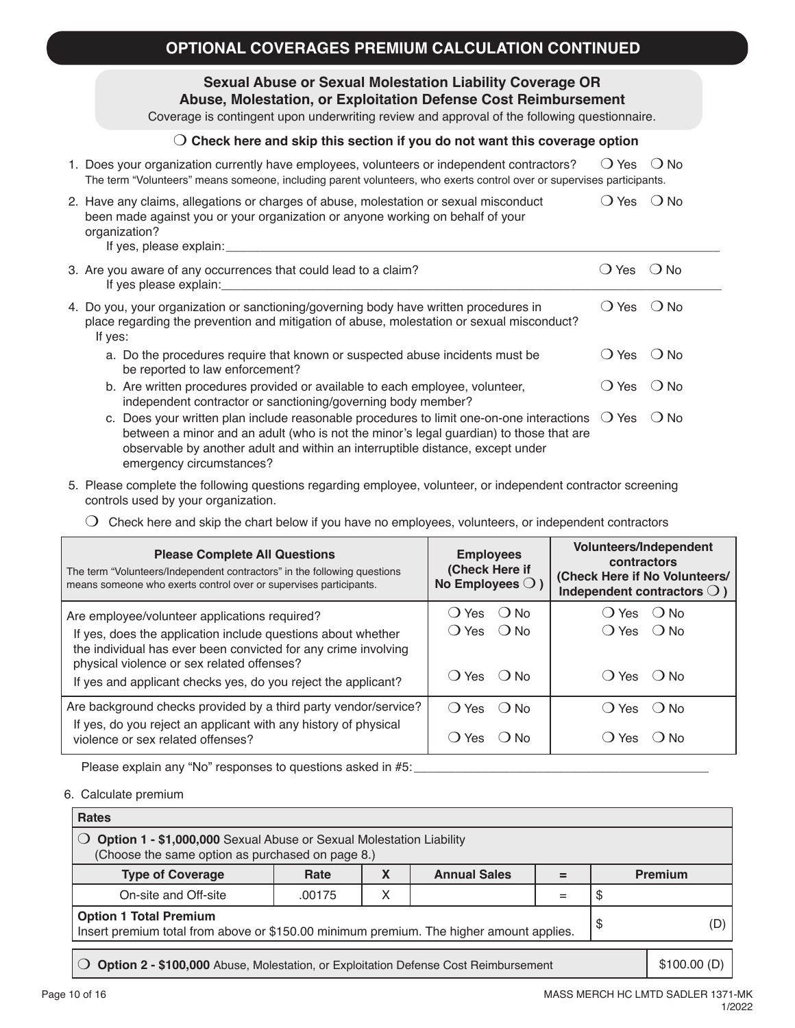### **Sexual Abuse or Sexual Molestation Liability Coverage OR Abuse, Molestation, or Exploitation Defense Cost Reimbursement**

Coverage is contingent upon underwriting review and approval of the following questionnaire.

### m **Check here and skip this section if you do not want this coverage option**

| 1. Does your organization currently have employees, volunteers or independent contractors?                            | ○ Yes ○ No |  |
|-----------------------------------------------------------------------------------------------------------------------|------------|--|
| The term "Volunteers" means someone, including parent volunteers, who exerts control over or supervises participants. |            |  |

| 2. Have any claims, allegations or charges of abuse, molestation or sexual misconduct<br>been made against you or your organization or anyone working on behalf of your<br>organization?<br>If yes, please explain: | () Yes () No   |  |
|---------------------------------------------------------------------------------------------------------------------------------------------------------------------------------------------------------------------|----------------|--|
| 3. Are you aware of any occurrences that could lead to a claim?<br>المشملون ومممولة ومتركل                                                                                                                          | $O$ Yes $O$ No |  |

| If yes please explain:                                                                                                                                                                                          |              |         |
|-----------------------------------------------------------------------------------------------------------------------------------------------------------------------------------------------------------------|--------------|---------|
| 4. Do you, your organization or sanctioning/governing body have written procedures in<br>place regarding the prevention and mitigation of abuse, molestation or sexual misconduct?<br>If yes:                   | ◯ Yes        | ( ) No∶ |
| a. Do the procedures require that known or suspected abuse incidents must be<br>be reported to law enforcement?                                                                                                 | ( ) Yes      | ( ) No  |
| b. Are written procedures provided or available to each employee, volunteer,<br>independent contractor or sanctioning/governing body member?                                                                    | () Yes () No |         |
| c. Does your written plan include reasonable procedures to limit one-on-one interactions $\bigcirc$ Yes $\bigcirc$ No<br>between a minor and an adult (who is not the minor's legal guardian) to those that are |              |         |

5. Please complete the following questions regarding employee, volunteer, or independent contractor screening controls used by your organization.

observable by another adult and within an interruptible distance, except under

 $\bigcirc$  Check here and skip the chart below if you have no employees, volunteers, or independent contractors

| <b>Please Complete All Questions</b><br>The term "Volunteers/Independent contractors" in the following questions<br>means someone who exerts control over or supervises participants. | <b>Employees</b><br>(Check Here if<br>No Employees $\bigcirc$ ) | <b>Volunteers/Independent</b><br>contractors<br>(Check Here if No Volunteers/<br>Independent contractors $\bigcirc$ ) |
|---------------------------------------------------------------------------------------------------------------------------------------------------------------------------------------|-----------------------------------------------------------------|-----------------------------------------------------------------------------------------------------------------------|
| Are employee/volunteer applications required?                                                                                                                                         | () Yes () No<br>() Yes () No                                    | () Yes () No<br>$() Yes$ $() No$                                                                                      |
| If yes, does the application include questions about whether<br>the individual has ever been convicted for any crime involving<br>physical violence or sex related offenses?          | () Yes () No                                                    | $()$ Yes $()$ No                                                                                                      |
| If yes and applicant checks yes, do you reject the applicant?<br>Are background checks provided by a third party vendor/service?                                                      | () Yes () No                                                    | $()$ Yes $()$ No                                                                                                      |
| If yes, do you reject an applicant with any history of physical<br>violence or sex related offenses?                                                                                  | 'Yes<br>$\Box$                                                  | ∕ Yes<br>( ) No<br>Э.                                                                                                 |

Please explain any "No" responses to questions asked in #5:

emergency circumstances?

6. Calculate premium

| <b>Rates</b>                                                                                                                         |        |   |                     |   |  |                |
|--------------------------------------------------------------------------------------------------------------------------------------|--------|---|---------------------|---|--|----------------|
| Option 1 - \$1,000,000 Sexual Abuse or Sexual Molestation Liability<br>(Choose the same option as purchased on page 8.)              |        |   |                     |   |  |                |
| <b>Type of Coverage</b>                                                                                                              | Rate   | X | <b>Annual Sales</b> | = |  | <b>Premium</b> |
| On-site and Off-site                                                                                                                 | .00175 | X |                     |   |  |                |
| <b>Option 1 Total Premium</b><br>(D)<br>S<br>Insert premium total from above or \$150.00 minimum premium. The higher amount applies. |        |   |                     |   |  |                |
| \$100.00(D)<br>Option 2 - \$100,000 Abuse, Molestation, or Exploitation Defense Cost Reimbursement                                   |        |   |                     |   |  |                |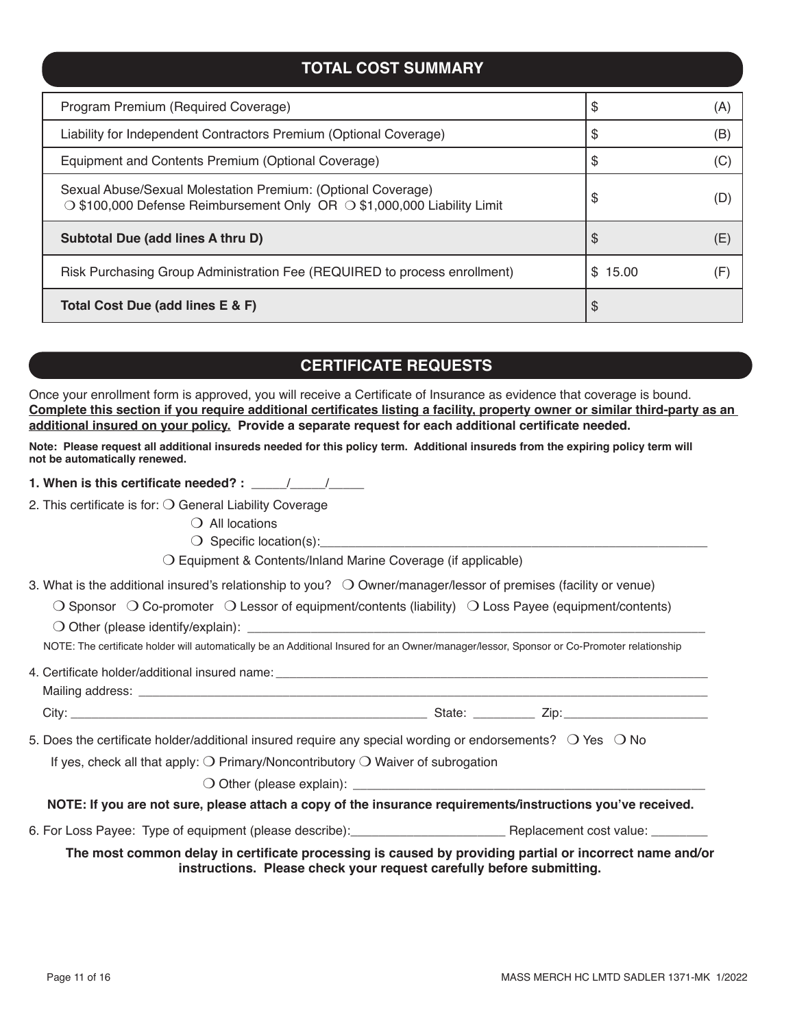### **TOTAL COST SUMMARY**

| Program Premium (Required Coverage)                                                                                                     | \$      | (A) |
|-----------------------------------------------------------------------------------------------------------------------------------------|---------|-----|
| Liability for Independent Contractors Premium (Optional Coverage)                                                                       | S       | (B) |
| Equipment and Contents Premium (Optional Coverage)                                                                                      | S       |     |
| Sexual Abuse/Sexual Molestation Premium: (Optional Coverage)<br>○ \$100,000 Defense Reimbursement Only OR ○ \$1,000,000 Liability Limit | S       |     |
| Subtotal Due (add lines A thru D)                                                                                                       | \$      | (F. |
| Risk Purchasing Group Administration Fee (REQUIRED to process enrollment)                                                               | \$15.00 |     |
| Total Cost Due (add lines E & F)                                                                                                        | \$      |     |

## **CERTIFICATE REQUESTS**

Once your enrollment form is approved, you will receive a Certificate of Insurance as evidence that coverage is bound. **Complete this section if you require additional certificates listing a facility, property owner or similar third-party as an additional insured on your policy. Provide a separate request for each additional certificate needed.** 

**Note: Please request all additional insureds needed for this policy term. Additional insureds from the expiring policy term will not be automatically renewed.** 

**1. When is this certificate needed? :** \_\_\_\_\_/\_\_\_\_\_/\_\_\_\_\_

2. This certificate is for:  $\bigcirc$  General Liability Coverage

 $\bigcirc$  All locations

 $\bigcirc$  Specific location(s):

 $\bigcirc$  Equipment & Contents/Inland Marine Coverage (if applicable)

3. What is the additional insured's relationship to you?  $\bigcirc$  Owner/manager/lessor of premises (facility or venue)

 $\bigcirc$  Sponsor  $\bigcirc$  Co-promoter  $\bigcirc$  Lessor of equipment/contents (liability)  $\bigcirc$  Loss Payee (equipment/contents)

 $\bigcirc$  Other (please identify/explain):

NOTE: The certificate holder will automatically be an Additional Insured for an Owner/manager/lessor, Sponsor or Co-Promoter relationship

|                                                                                                   | 5. Does the certificate holder/additional insured require any special wording or endorsements? $\bigcirc$ Yes $\bigcirc$ No |  |  |  |  |  |
|---------------------------------------------------------------------------------------------------|-----------------------------------------------------------------------------------------------------------------------------|--|--|--|--|--|
| If yes, check all that apply: $\bigcirc$ Primary/Noncontributory $\bigcirc$ Waiver of subrogation |                                                                                                                             |  |  |  |  |  |
|                                                                                                   |                                                                                                                             |  |  |  |  |  |
|                                                                                                   | NOTE: If you are not sure, please attach a copy of the insurance requirements/instructions you've received.                 |  |  |  |  |  |
|                                                                                                   |                                                                                                                             |  |  |  |  |  |
|                                                                                                   | The most common delay in certificate processing is caused by providing partial or incorrect name and/or                     |  |  |  |  |  |

**The most common delay in certificate processing is caused by providing partial or incorrect name and/or instructions. Please check your request carefully before submitting.**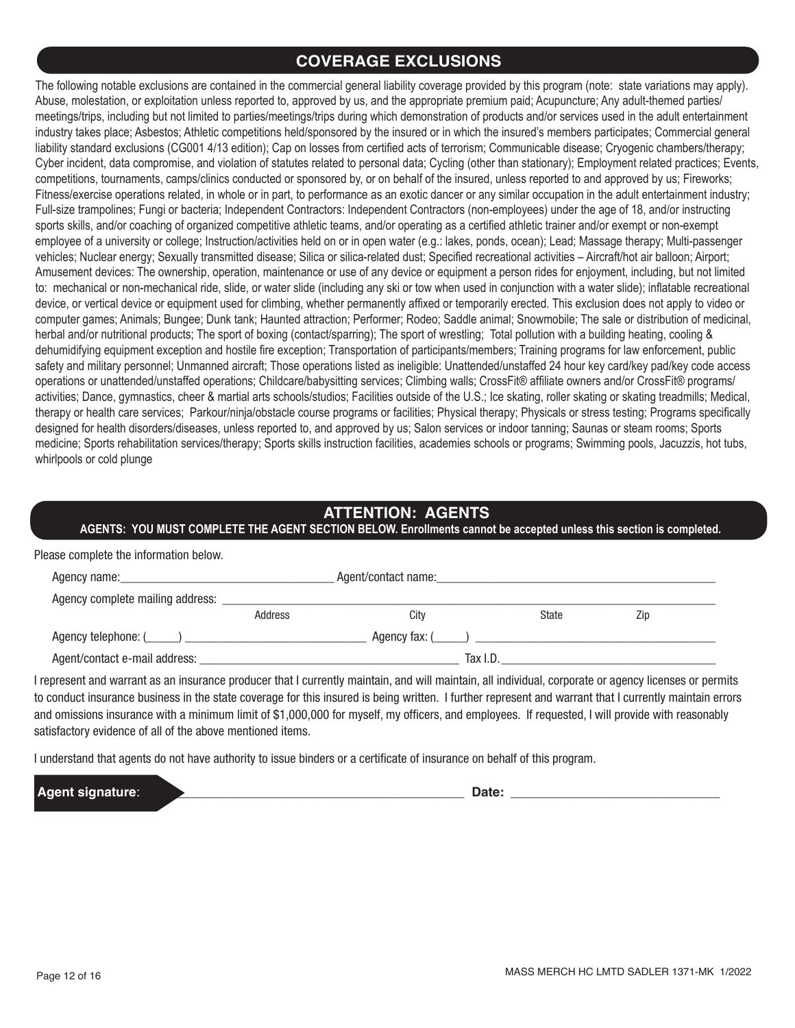## **COVERAGE EXCLUSIONS**

The following notable exclusions are contained in the commercial general liability coverage provided by this program (note: state variations may apply). Abuse, molestation, or exploitation unless reported to, approved by us, and the appropriate premium paid; Acupuncture; Any adult-themed parties/ meetings/trips, including but not limited to parties/meetings/trips during which demonstration of products and/or services used in the adult entertainment industry takes place; Asbestos; Athletic competitions held/sponsored by the insured or in which the insured's members participates; Commercial general liability standard exclusions (CG001 4/13 edition); Cap on losses from certified acts of terrorism; Communicable disease; Cryogenic chambers/therapy; Cyber incident, data compromise, and violation of statutes related to personal data; Cycling (other than stationary); Employment related practices; Events, competitions, tournaments, camps/clinics conducted or sponsored by, or on behalf of the insured, unless reported to and approved by us; Fireworks; Fitness/exercise operations related, in whole or in part, to performance as an exotic dancer or any similar occupation in the adult entertainment industry; Full-size trampolines; Fungi or bacteria; Independent Contractors: Independent Contractors (non-employees) under the age of 18, and/or instructing sports skills, and/or coaching of organized competitive athletic teams, and/or operating as a certified athletic trainer and/or exempt or non-exempt employee of a university or college; Instruction/activities held on or in open water (e.g.: lakes, ponds, ocean); Lead; Massage therapy; Multi-passenger vehicles; Nuclear energy; Sexually transmitted disease; Silica or silica-related dust; Specified recreational activities – Aircraft/hot air balloon; Airport; Amusement devices: The ownership, operation, maintenance or use of any device or equipment a person rides for enjoyment, including, but not limited to: mechanical or non-mechanical ride, slide, or water slide (including any ski or tow when used in conjunction with a water slide); inflatable recreational device, or vertical device or equipment used for climbing, whether permanently affixed or temporarily erected. This exclusion does not apply to video or computer games; Animals; Bungee; Dunk tank; Haunted attraction; Performer; Rodeo; Saddle animal; Snowmobile; The sale or distribution of medicinal, herbal and/or nutritional products; The sport of boxing (contact/sparring); The sport of wrestling; Total pollution with a building heating, cooling & dehumidifying equipment exception and hostile fire exception; Transportation of participants/members; Training programs for law enforcement, public safety and military personnel; Unmanned aircraft; Those operations listed as ineligible: Unattended/unstaffed 24 hour key card/key pad/key code access operations or unattended/unstaffed operations; Childcare/babysitting services; Climbing walls; CrossFit® affiliate owners and/or CrossFit® programs/ activities; Dance, gymnastics, cheer & martial arts schools/studios; Facilities outside of the U.S.; Ice skating, roller skating or skating treadmills; Medical, therapy or health care services; Parkour/ninja/obstacle course programs or facilities; Physical therapy; Physicals or stress testing; Programs specifically designed for health disorders/diseases, unless reported to, and approved by us; Salon services or indoor tanning; Saunas or steam rooms; Sports medicine; Sports rehabilitation services/therapy; Sports skills instruction facilities, academies schools or programs; Swimming pools, Jacuzzis, hot tubs, whirlpools or cold plunge

## **ATTENTION: AGENTS**

**AGENTS: YOU MUST COMPLETE THE AGENT SECTION BELOW. Enrollments cannot be accepted unless this section is completed.**

| Please complete the information below.                                                                                                                                                                                         |         |                     |              |     |  |
|--------------------------------------------------------------------------------------------------------------------------------------------------------------------------------------------------------------------------------|---------|---------------------|--------------|-----|--|
| Agency name: the contract of the contract of the contract of the contract of the contract of the contract of the contract of the contract of the contract of the contract of the contract of the contract of the contract of t |         | Agent/contact name: |              |     |  |
|                                                                                                                                                                                                                                |         |                     |              |     |  |
|                                                                                                                                                                                                                                | Address | City                | <b>State</b> | Zip |  |
|                                                                                                                                                                                                                                |         |                     |              |     |  |
|                                                                                                                                                                                                                                |         |                     | Tax I.D.     |     |  |

I represent and warrant as an insurance producer that I currently maintain, and will maintain, all individual, corporate or agency licenses or permits to conduct insurance business in the state coverage for this insured is being written. I further represent and warrant that I currently maintain errors and omissions insurance with a minimum limit of \$1,000,000 for myself, my officers, and employees. If requested, I will provide with reasonably satisfactory evidence of all of the above mentioned items.

I understand that agents do not have authority to issue binders or a certificate of insurance on behalf of this program.

**Agent signature**: \_\_\_\_\_\_\_\_\_\_\_\_\_\_\_\_\_\_\_\_\_\_\_\_\_\_\_\_\_\_\_\_\_\_\_\_\_\_\_\_\_\_\_\_ **Date:** \_\_\_\_\_\_\_\_\_\_\_\_\_\_\_\_\_\_\_\_\_\_\_\_\_\_\_\_\_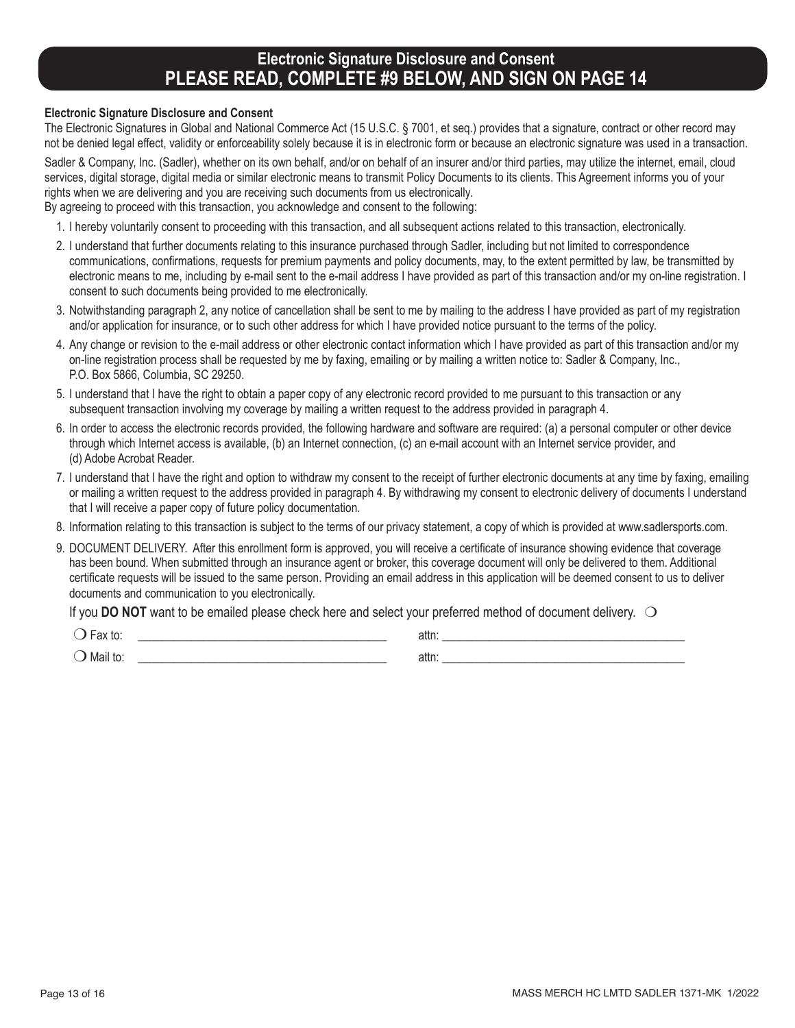## **Electronic Signature Disclosure and Consent PLEASE READ, COMPLETE #9 BELOW, AND SIGN ON PAGE 14**

#### **Electronic Signature Disclosure and Consent**

The Electronic Signatures in Global and National Commerce Act (15 U.S.C. § 7001, et seq.) provides that a signature, contract or other record may not be denied legal effect, validity or enforceability solely because it is in electronic form or because an electronic signature was used in a transaction.

Sadler & Company, Inc. (Sadler), whether on its own behalf, and/or on behalf of an insurer and/or third parties, may utilize the internet, email, cloud services, digital storage, digital media or similar electronic means to transmit Policy Documents to its clients. This Agreement informs you of your rights when we are delivering and you are receiving such documents from us electronically.

By agreeing to proceed with this transaction, you acknowledge and consent to the following:

- 1. I hereby voluntarily consent to proceeding with this transaction, and all subsequent actions related to this transaction, electronically.
- 2. I understand that further documents relating to this insurance purchased through Sadler, including but not limited to correspondence communications, confirmations, requests for premium payments and policy documents, may, to the extent permitted by law, be transmitted by electronic means to me, including by e-mail sent to the e-mail address I have provided as part of this transaction and/or my on-line registration. I consent to such documents being provided to me electronically.
- 3. Notwithstanding paragraph 2, any notice of cancellation shall be sent to me by mailing to the address I have provided as part of my registration and/or application for insurance, or to such other address for which I have provided notice pursuant to the terms of the policy.
- 4. Any change or revision to the e-mail address or other electronic contact information which I have provided as part of this transaction and/or my on-line registration process shall be requested by me by faxing, emailing or by mailing a written notice to: Sadler & Company, Inc., P.O. Box 5866, Columbia, SC 29250.
- 5. I understand that I have the right to obtain a paper copy of any electronic record provided to me pursuant to this transaction or any subsequent transaction involving my coverage by mailing a written request to the address provided in paragraph 4.
- 6. In order to access the electronic records provided, the following hardware and software are required: (a) a personal computer or other device through which Internet access is available, (b) an Internet connection, (c) an e-mail account with an Internet service provider, and (d) Adobe Acrobat Reader.
- 7. I understand that I have the right and option to withdraw my consent to the receipt of further electronic documents at any time by faxing, emailing or mailing a written request to the address provided in paragraph 4. By withdrawing my consent to electronic delivery of documents I understand that I will receive a paper copy of future policy documentation.
- 8. Information relating to this transaction is subject to the terms of our privacy statement, a copy of which is provided at www.sadlersports.com.
- 9. DOCUMENT DELIVERY. After this enrollment form is approved, you will receive a certificate of insurance showing evidence that coverage has been bound. When submitted through an insurance agent or broker, this coverage document will only be delivered to them. Additional certificate requests will be issued to the same person. Providing an email address in this application will be deemed consent to us to deliver documents and communication to you electronically.

If you **DO NOT** want to be emailed please check here and select your preferred method of document delivery.  $\bigcirc$ 

 $\bigcirc$  Fax to:  $\qquad \qquad \text{attn:}$ m Mail to: \_\_\_\_\_\_\_\_\_\_\_\_\_\_\_\_\_\_\_\_\_\_\_\_\_\_\_\_\_\_\_\_\_\_\_\_\_\_\_\_\_\_ attn: \_\_\_\_\_\_\_\_\_\_\_\_\_\_\_\_\_\_\_\_\_\_\_\_\_\_\_\_\_\_\_\_\_\_\_\_\_\_\_\_\_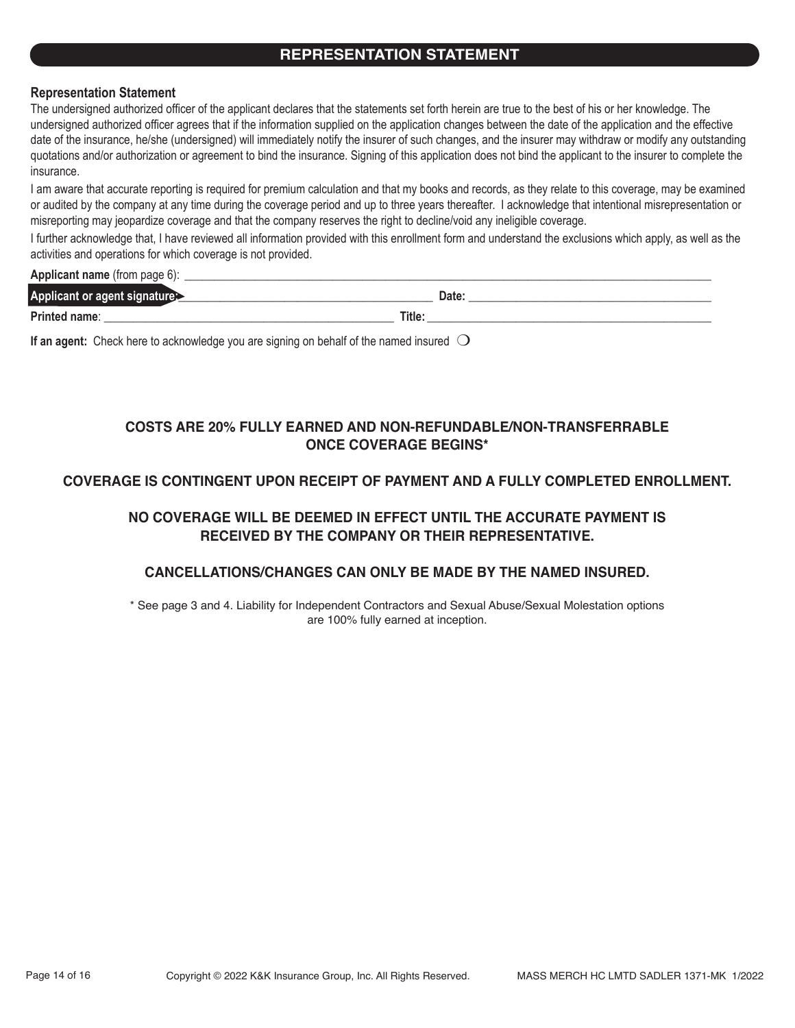### **REPRESENTATION STATEMENT**

### **Representation Statement**

The undersigned authorized officer of the applicant declares that the statements set forth herein are true to the best of his or her knowledge. The undersigned authorized officer agrees that if the information supplied on the application changes between the date of the application and the effective date of the insurance, he/she (undersigned) will immediately notify the insurer of such changes, and the insurer may withdraw or modify any outstanding quotations and/or authorization or agreement to bind the insurance. Signing of this application does not bind the applicant to the insurer to complete the insurance.

I am aware that accurate reporting is required for premium calculation and that my books and records, as they relate to this coverage, may be examined or audited by the company at any time during the coverage period and up to three years thereafter. I acknowledge that intentional misrepresentation or misreporting may jeopardize coverage and that the company reserves the right to decline/void any ineligible coverage.

I further acknowledge that, I have reviewed all information provided with this enrollment form and understand the exclusions which apply, as well as the activities and operations for which coverage is not provided.

**Applicant name** (from page 6):

| <b>Applicant or</b><br>ragent |        | Date: |
|-------------------------------|--------|-------|
| Printed name:                 | Title: |       |
|                               |        |       |

**If an agent:** Check here to acknowledge you are signing on behalf of the named insured  $\bigcirc$ 

### **COSTS ARE 20% FULLY EARNED AND NON-REFUNDABLE/NON-TRANSFERRABLE ONCE COVERAGE BEGINS\***

### **COVERAGE IS CONTINGENT UPON RECEIPT OF PAYMENT AND A FULLY COMPLETED ENROLLMENT.**

### **NO COVERAGE WILL BE DEEMED IN EFFECT UNTIL THE ACCURATE PAYMENT IS RECEIVED BY THE COMPANY OR THEIR REPRESENTATIVE.**

### **CANCELLATIONS/CHANGES CAN ONLY BE MADE BY THE NAMED INSURED.**

\* See page 3 and 4. Liability for Independent Contractors and Sexual Abuse/Sexual Molestation options are 100% fully earned at inception.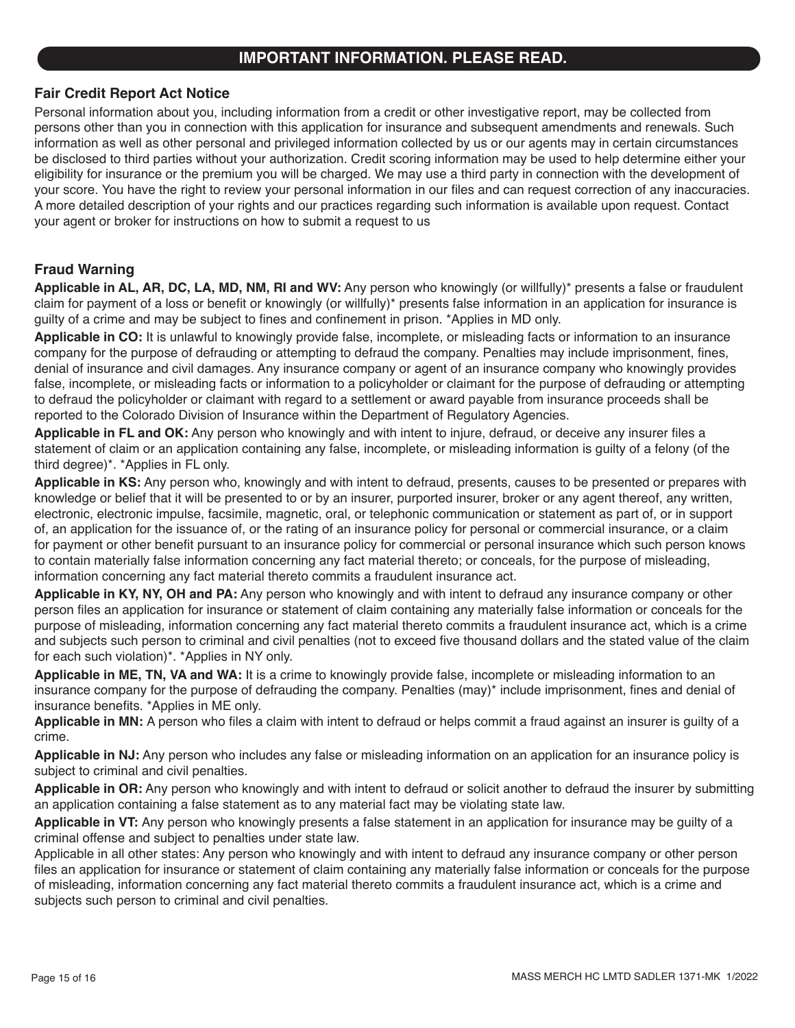### **IMPORTANT INFORMATION. PLEASE READ.**

### **Fair Credit Report Act Notice**

Personal information about you, including information from a credit or other investigative report, may be collected from persons other than you in connection with this application for insurance and subsequent amendments and renewals. Such information as well as other personal and privileged information collected by us or our agents may in certain circumstances be disclosed to third parties without your authorization. Credit scoring information may be used to help determine either your eligibility for insurance or the premium you will be charged. We may use a third party in connection with the development of your score. You have the right to review your personal information in our files and can request correction of any inaccuracies. A more detailed description of your rights and our practices regarding such information is available upon request. Contact your agent or broker for instructions on how to submit a request to us

### **Fraud Warning**

**Applicable in AL, AR, DC, LA, MD, NM, RI and WV:** Any person who knowingly (or willfully)\* presents a false or fraudulent claim for payment of a loss or benefit or knowingly (or willfully)\* presents false information in an application for insurance is guilty of a crime and may be subject to fines and confinement in prison. \*Applies in MD only.

**Applicable in CO:** It is unlawful to knowingly provide false, incomplete, or misleading facts or information to an insurance company for the purpose of defrauding or attempting to defraud the company. Penalties may include imprisonment, fines, denial of insurance and civil damages. Any insurance company or agent of an insurance company who knowingly provides false, incomplete, or misleading facts or information to a policyholder or claimant for the purpose of defrauding or attempting to defraud the policyholder or claimant with regard to a settlement or award payable from insurance proceeds shall be reported to the Colorado Division of Insurance within the Department of Regulatory Agencies.

**Applicable in FL and OK:** Any person who knowingly and with intent to injure, defraud, or deceive any insurer files a statement of claim or an application containing any false, incomplete, or misleading information is guilty of a felony (of the third degree)\*. \*Applies in FL only.

**Applicable in KS:** Any person who, knowingly and with intent to defraud, presents, causes to be presented or prepares with knowledge or belief that it will be presented to or by an insurer, purported insurer, broker or any agent thereof, any written, electronic, electronic impulse, facsimile, magnetic, oral, or telephonic communication or statement as part of, or in support of, an application for the issuance of, or the rating of an insurance policy for personal or commercial insurance, or a claim for payment or other benefit pursuant to an insurance policy for commercial or personal insurance which such person knows to contain materially false information concerning any fact material thereto; or conceals, for the purpose of misleading, information concerning any fact material thereto commits a fraudulent insurance act.

**Applicable in KY, NY, OH and PA:** Any person who knowingly and with intent to defraud any insurance company or other person files an application for insurance or statement of claim containing any materially false information or conceals for the purpose of misleading, information concerning any fact material thereto commits a fraudulent insurance act, which is a crime and subjects such person to criminal and civil penalties (not to exceed five thousand dollars and the stated value of the claim for each such violation)\*. \*Applies in NY only.

**Applicable in ME, TN, VA and WA:** It is a crime to knowingly provide false, incomplete or misleading information to an insurance company for the purpose of defrauding the company. Penalties (may)\* include imprisonment, fines and denial of insurance benefits. \*Applies in ME only.

**Applicable in MN:** A person who files a claim with intent to defraud or helps commit a fraud against an insurer is guilty of a crime.

**Applicable in NJ:** Any person who includes any false or misleading information on an application for an insurance policy is subject to criminal and civil penalties.

**Applicable in OR:** Any person who knowingly and with intent to defraud or solicit another to defraud the insurer by submitting an application containing a false statement as to any material fact may be violating state law.

**Applicable in VT:** Any person who knowingly presents a false statement in an application for insurance may be guilty of a criminal offense and subject to penalties under state law.

Applicable in all other states: Any person who knowingly and with intent to defraud any insurance company or other person files an application for insurance or statement of claim containing any materially false information or conceals for the purpose of misleading, information concerning any fact material thereto commits a fraudulent insurance act, which is a crime and subjects such person to criminal and civil penalties.